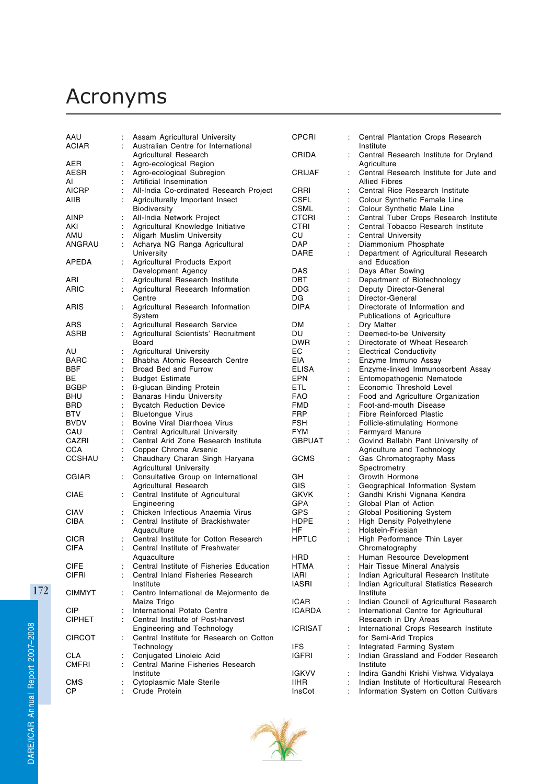## Acronyms

| AAU           | Assam Agricultural University                         | CPCRI                |                | Central Plantation Crops Research                                                   |
|---------------|-------------------------------------------------------|----------------------|----------------|-------------------------------------------------------------------------------------|
| ACIAR         | Australian Centre for International                   |                      |                | Institute                                                                           |
|               | Agricultural Research                                 | CRIDA                |                | Central Research Institute for Dryland                                              |
| AER           | Agro-ecological Region                                |                      |                | Agriculture                                                                         |
| AESR          | Agro-ecological Subregion                             | CRIJAF               |                | Central Research Institute for Jute and                                             |
| AI            | Artificial Insemination                               |                      |                | <b>Allied Fibres</b>                                                                |
| AICRP         | All-India Co-ordinated Research Project               | CRRI                 |                | Central Rice Research Institute                                                     |
| AIIB          | Agriculturally Important Insect                       | CSFL                 |                | Colour Synthetic Female Line                                                        |
|               | Biodiversity                                          | CSML                 |                | Colour Synthetic Male Line                                                          |
| AINP          | All-India Network Project                             | CTCRI                |                | Central Tuber Crops Research Institute                                              |
| AKI           | Agricultural Knowledge Initiative                     | CTRI                 |                | Central Tobacco Research Institute                                                  |
| AMU           | Aligarh Muslim University                             | CU                   |                | Central University                                                                  |
| ANGRAU        | Acharya NG Ranga Agricultural                         | DAP                  |                | Diammonium Phosphate                                                                |
|               | University                                            | DARE                 |                | Department of Agricultural Research                                                 |
| APEDA         | Agricultural Products Export                          | DAS                  |                | and Education                                                                       |
| ARI           | Development Agency<br>Agricultural Research Institute | DBT                  |                | Days After Sowing<br>Department of Biotechnology                                    |
| ARIC          | Agricultural Research Information                     | DDG                  |                | Deputy Director-General                                                             |
|               | Centre                                                | DG                   |                | Director-General                                                                    |
| ARIS          | Agricultural Research Information                     | DIPA                 |                | Directorate of Information and                                                      |
|               | System                                                |                      |                | Publications of Agriculture                                                         |
| ARS           | Agricultural Research Service                         | DM                   |                | Dry Matter                                                                          |
| ASRB          | Agricultural Scientists' Recruitment                  | DU                   |                | Deemed-to-be University                                                             |
|               | Board                                                 | DWR                  |                | Directorate of Wheat Research                                                       |
| AU            | Agricultural University                               | EС                   |                | Electrical Conductivity                                                             |
| BARC          | Bhabha Atomic Research Centre                         | EIA                  |                | Enzyme Immuno Assay                                                                 |
| BBF           | Broad Bed and Furrow                                  | ELISA                |                | Enzyme-linked Immunosorbent Assay                                                   |
| BЕ            | <b>Budget Estimate</b>                                | EPN                  |                | Entomopathogenic Nematode                                                           |
| <b>BGBP</b>   | <b>B-glucan Binding Protein</b>                       | ETL                  | $\ddot{\cdot}$ | Economic Threshold Level                                                            |
| BHU           | <b>Banaras Hindu University</b>                       | FAO                  |                | Food and Agriculture Organization                                                   |
| BRD           | <b>Bycatch Reduction Device</b>                       | FMD                  |                | Foot-and-mouth Disease                                                              |
| BTV           | <b>Bluetongue Virus</b>                               | FRP                  |                | <b>Fibre Reinforced Plastic</b>                                                     |
| BVDV          | Bovine Viral Diarrhoea Virus                          | FSH                  |                | Follicle-stimulating Hormone                                                        |
| CAU           | Central Agricultural University                       | FYM                  |                | <b>Farmyard Manure</b>                                                              |
| CAZRI         | Central Arid Zone Research Institute                  | GBPUAT               |                | Govind Ballabh Pant University of                                                   |
| CCA           | Copper Chrome Arsenic                                 |                      |                | Agriculture and Technology                                                          |
| CCSHAU        | Chaudhary Charan Singh Haryana                        | GCMS                 |                | Gas Chromatography Mass                                                             |
|               | <b>Agricultural University</b>                        |                      |                | Spectrometry                                                                        |
| CGIAR         | Consultative Group on International                   | GH                   |                | Growth Hormone                                                                      |
|               | Agricultural Research                                 | GIS                  |                | Geographical Information System                                                     |
| CIAE          | Central Institute of Agricultural                     | GKVK                 |                | Gandhi Krishi Vignana Kendra                                                        |
|               | Engineering                                           | GPA                  |                | Global Plan of Action                                                               |
| CIAV          | Chicken Infectious Anaemia Virus                      | GPS                  |                | Global Positioning System                                                           |
| CIBA          | Central Institute of Brackishwater                    | HDPE                 |                | High Density Polyethylene                                                           |
|               | Aquaculture                                           | HF                   |                | Holstein-Friesian                                                                   |
| CICR          | Central Institute for Cotton Research                 | <b>HPTLC</b>         |                | High Performance Thin Layer                                                         |
| <b>CIFA</b>   | Central Institute of Freshwater                       |                      |                | Chromatography                                                                      |
|               | Aquaculture                                           | HRD                  |                | Human Resource Development                                                          |
| CIFE          | Central Institute of Fisheries Education              | HTMA                 |                | Hair Tissue Mineral Analysis                                                        |
| CIFRI         | Central Inland Fisheries Research                     | IARI                 |                | Indian Agricultural Research Institute                                              |
|               | Institute                                             | <b>IASRI</b>         |                | Indian Agricultural Statistics Research                                             |
| <b>CIMMYT</b> | Centro International de Mejormento de                 |                      |                | Institute                                                                           |
|               | Maize Trigo                                           | ICAR                 |                | Indian Council of Agricultural Research                                             |
| <b>CIP</b>    | International Potato Centre                           | ICARDA               |                | International Centre for Agricultural                                               |
| <b>CIPHET</b> | Central Institute of Post-harvest                     |                      |                | Research in Dry Areas                                                               |
|               | Engineering and Technology                            | ICRISAT              |                | International Crops Research Institute                                              |
| CIRCOT        | Central Institute for Research on Cotton              |                      |                | for Semi-Arid Tropics                                                               |
|               | Technology                                            | IFS                  |                | Integrated Farming System                                                           |
| CLA           | Conjugated Linoleic Acid                              | IGFRI                |                | Indian Grassland and Fodder Research                                                |
| CMFRI         | Central Marine Fisheries Research<br>Institute        |                      |                | Institute                                                                           |
| CMS           | Cytoplasmic Male Sterile                              | igkvv<br><b>IIHR</b> |                | Indira Gandhi Krishi Vishwa Vidyalaya<br>Indian Institute of Horticultural Research |
| СP            | Crude Protein                                         | InsCot               |                | Information System on Cotton Cultivars                                              |
|               |                                                       |                      |                |                                                                                     |